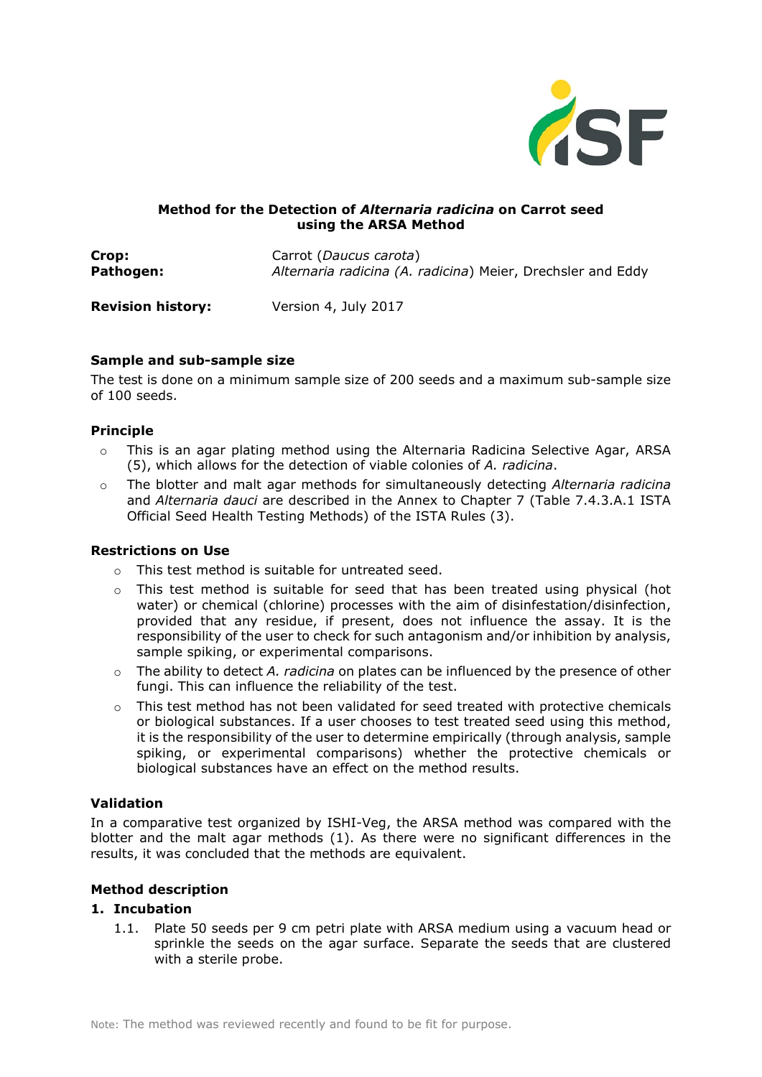

## **Method for the Detection of** *Alternaria radicina* **on Carrot seed using the ARSA Method**

**Crop:** Carrot (*Daucus carota*) **Pathogen:** *Alternaria radicina (A. radicina*) Meier, Drechsler and Eddy

**Revision history:** Version 4, July 2017

# **Sample and sub-sample size**

The test is done on a minimum sample size of 200 seeds and a maximum sub-sample size of 100 seeds.

# **Principle**

- $\circ$  This is an agar plating method using the Alternaria Radicina Selective Agar, ARSA (5), which allows for the detection of viable colonies of *A. radicina*.
- o The blotter and malt agar methods for simultaneously detecting *Alternaria radicina* and *Alternaria dauci* are described in the Annex to Chapter 7 (Table 7.4.3.A.1 ISTA Official Seed Health Testing Methods) of the ISTA Rules (3).

### **Restrictions on Use**

- o This test method is suitable for untreated seed.
- o This test method is suitable for seed that has been treated using physical (hot water) or chemical (chlorine) processes with the aim of disinfestation/disinfection, provided that any residue, if present, does not influence the assay. It is the responsibility of the user to check for such antagonism and/or inhibition by analysis, sample spiking, or experimental comparisons.
- o The ability to detect *A. radicina* on plates can be influenced by the presence of other fungi. This can influence the reliability of the test.
- o This test method has not been validated for seed treated with protective chemicals or biological substances. If a user chooses to test treated seed using this method, it is the responsibility of the user to determine empirically (through analysis, sample spiking, or experimental comparisons) whether the protective chemicals or biological substances have an effect on the method results.

# **Validation**

In a comparative test organized by ISHI-Veg, the ARSA method was compared with the blotter and the malt agar methods (1). As there were no significant differences in the results, it was concluded that the methods are equivalent.

# **Method description**

### **1. Incubation**

1.1. Plate 50 seeds per 9 cm petri plate with ARSA medium using a vacuum head or sprinkle the seeds on the agar surface. Separate the seeds that are clustered with a sterile probe.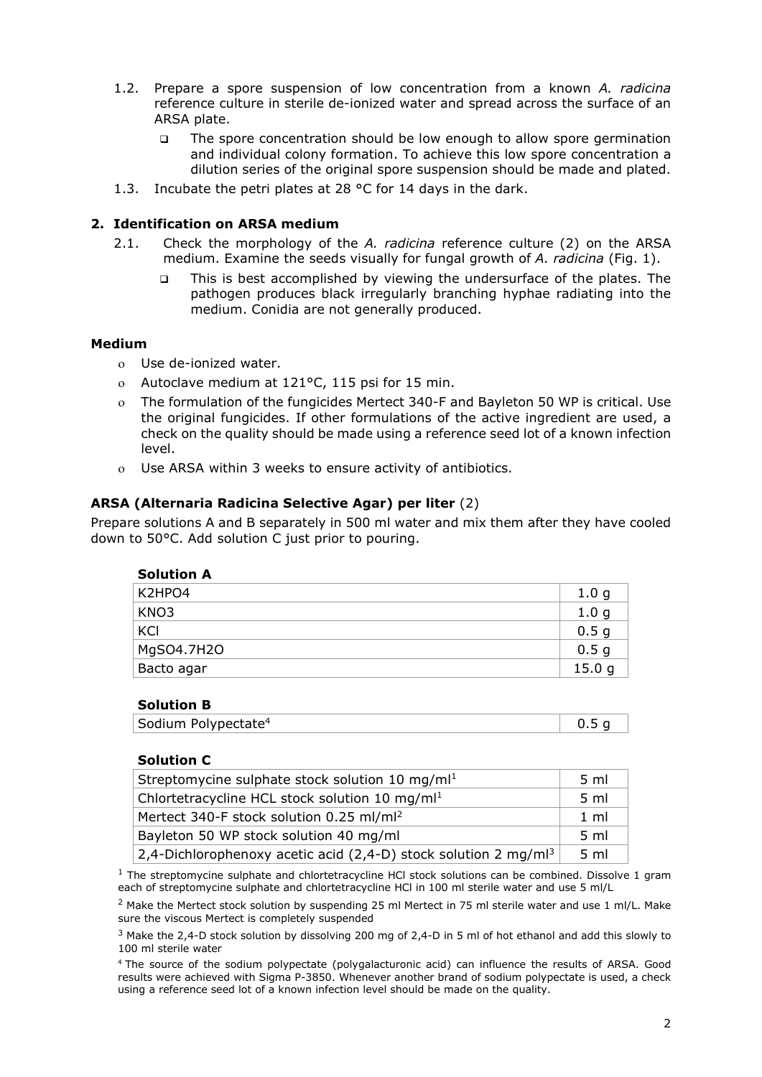- 1.2. Prepare a spore suspension of low concentration from a known *A. radicina* reference culture in sterile de-ionized water and spread across the surface of an ARSA plate.
	- The spore concentration should be low enough to allow spore germination and individual colony formation. To achieve this low spore concentration a dilution series of the original spore suspension should be made and plated.
- 1.3. Incubate the petri plates at 28 °C for 14 days in the dark.

## **2. Identification on ARSA medium**

- 2.1. Check the morphology of the *A. radicina* reference culture (2) on the ARSA medium. Examine the seeds visually for fungal growth of *A. radicina* (Fig. 1).
	- This is best accomplished by viewing the undersurface of the plates. The pathogen produces black irregularly branching hyphae radiating into the medium. Conidia are not generally produced.

### **Medium**

- ο Use de-ionized water.
- ο Autoclave medium at 121°C, 115 psi for 15 min.
- ο The formulation of the fungicides Mertect 340-F and Bayleton 50 WP is critical. Use the original fungicides. If other formulations of the active ingredient are used, a check on the quality should be made using a reference seed lot of a known infection level.
- ο Use ARSA within 3 weeks to ensure activity of antibiotics.

## **ARSA (Alternaria Radicina Selective Agar) per liter** (2)

Prepare solutions A and B separately in 500 ml water and mix them after they have cooled down to 50°C. Add solution C just prior to pouring.

| <b>Solution A</b> |                  |
|-------------------|------------------|
| K2HPO4            | 1.0 <sub>g</sub> |
| KN <sub>O</sub> 3 | 1.0 <sub>g</sub> |
| KCI               | 0.5 <sub>g</sub> |
| MgSO4.7H2O        | 0.5 <sub>g</sub> |
| Bacto agar        | 15.0 g           |

### **Solution B**

| Sodium Polypectate <sup>4</sup> |  |
|---------------------------------|--|
|                                 |  |

### **Solution C**

| Streptomycine sulphate stock solution 10 mg/ml <sup>1</sup>                        | 5 <sub>ml</sub> |
|------------------------------------------------------------------------------------|-----------------|
| Chlortetracycline HCL stock solution 10 mg/ml <sup>1</sup>                         | 5 <sub>ml</sub> |
| Mertect 340-F stock solution 0.25 ml/ml <sup>2</sup>                               | $1 \text{ ml}$  |
| Bayleton 50 WP stock solution 40 mg/ml                                             | 5 <sub>m</sub>  |
| 2,4-Dichlorophenoxy acetic acid (2,4-D) stock solution 2 mg/m $\vert$ <sup>3</sup> | 5 <sub>m</sub>  |

 $<sup>1</sup>$  The streptomycine sulphate and chlortetracycline HCl stock solutions can be combined. Dissolve 1 gram</sup> each of streptomycine sulphate and chlortetracycline HCl in 100 ml sterile water and use 5 ml/L

<sup>2</sup> Make the Mertect stock solution by suspending 25 ml Mertect in 75 ml sterile water and use 1 ml/L. Make sure the viscous Mertect is completely suspended

<sup>3</sup> Make the 2,4-D stock solution by dissolving 200 mg of 2,4-D in 5 ml of hot ethanol and add this slowly to 100 ml sterile water

4 The source of the sodium polypectate (polygalacturonic acid) can influence the results of ARSA. Good results were achieved with Sigma P-3850. Whenever another brand of sodium polypectate is used, a check using a reference seed lot of a known infection level should be made on the quality.